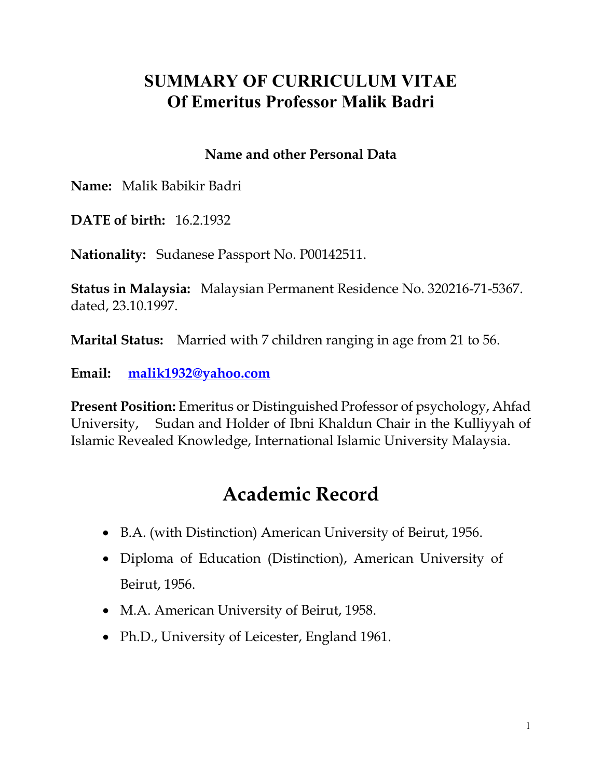#### **SUMMARY OF CURRICULUM VITAE Of Emeritus Professor Malik Badri**

#### **Name and other Personal Data**

**Name:** Malik Babikir Badri

**DATE of birth:** 16.2.1932

**Nationality:** Sudanese Passport No. P00142511.

**Status in Malaysia:** Malaysian Permanent Residence No. 320216-71-5367. dated, 23.10.1997.

**Marital Status:** Married with 7 children ranging in age from 21 to 56.

**Email: [malik1932@yahoo.com](mailto:malik1932@yahoo.com)**

**Present Position:** Emeritus or Distinguished Professor of psychology, Ahfad University, Sudan and Holder of Ibni Khaldun Chair in the Kulliyyah of Islamic Revealed Knowledge, International Islamic University Malaysia.

## **Academic Record**

- B.A. (with Distinction) American University of Beirut, 1956.
- Diploma of Education (Distinction), American University of Beirut, 1956.
- M.A. American University of Beirut, 1958.
- Ph.D., University of Leicester, England 1961.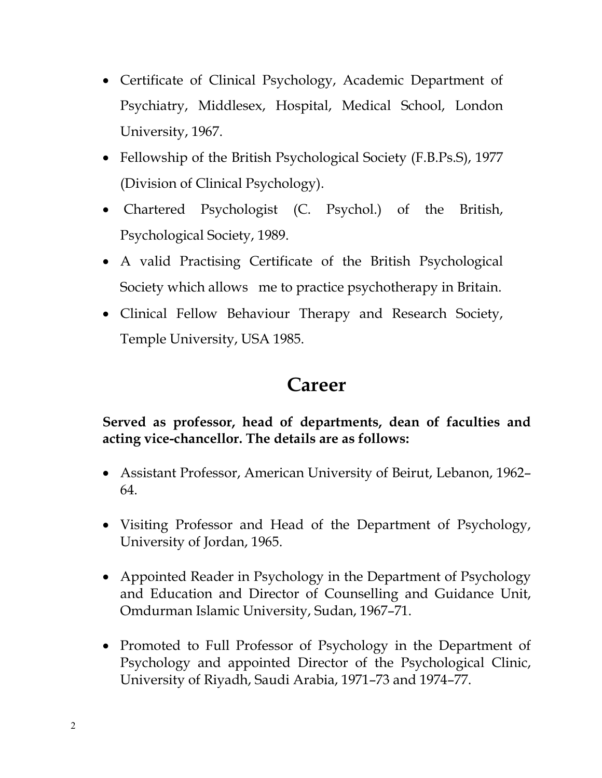- Certificate of Clinical Psychology, Academic Department of Psychiatry, Middlesex, Hospital, Medical School, London University, 1967.
- Fellowship of the British Psychological Society (F.B.Ps.S), 1977 (Division of Clinical Psychology).
- Chartered Psychologist (C. Psychol.) of the British, Psychological Society, 1989.
- A valid Practising Certificate of the British Psychological Society which allows me to practice psychotherapy in Britain.
- Clinical Fellow Behaviour Therapy and Research Society, Temple University, USA 1985.

#### **Career**

#### **Served as professor, head of departments, dean of faculties and acting vice-chancellor. The details are as follows:**

- Assistant Professor, American University of Beirut, Lebanon, 1962– 64.
- Visiting Professor and Head of the Department of Psychology, University of Jordan, 1965.
- Appointed Reader in Psychology in the Department of Psychology and Education and Director of Counselling and Guidance Unit, Omdurman Islamic University, Sudan, 1967–71.
- Promoted to Full Professor of Psychology in the Department of Psychology and appointed Director of the Psychological Clinic, University of Riyadh, Saudi Arabia, 1971–73 and 1974–77.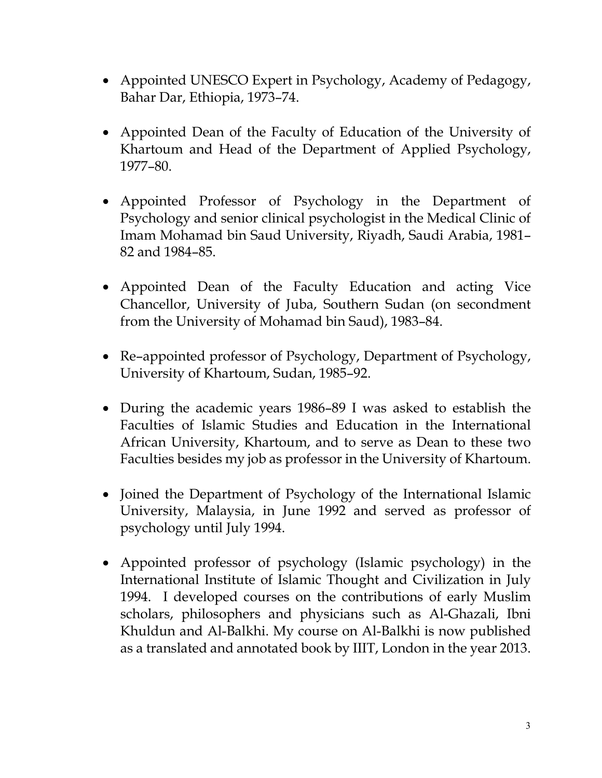- Appointed UNESCO Expert in Psychology, Academy of Pedagogy, Bahar Dar, Ethiopia, 1973–74.
- Appointed Dean of the Faculty of Education of the University of Khartoum and Head of the Department of Applied Psychology, 1977–80.
- Appointed Professor of Psychology in the Department of Psychology and senior clinical psychologist in the Medical Clinic of Imam Mohamad bin Saud University, Riyadh, Saudi Arabia, 1981– 82 and 1984–85.
- Appointed Dean of the Faculty Education and acting Vice Chancellor, University of Juba, Southern Sudan (on secondment from the University of Mohamad bin Saud), 1983–84.
- Re-appointed professor of Psychology, Department of Psychology, University of Khartoum, Sudan, 1985–92.
- During the academic years 1986–89 I was asked to establish the Faculties of Islamic Studies and Education in the International African University, Khartoum, and to serve as Dean to these two Faculties besides my job as professor in the University of Khartoum.
- Joined the Department of Psychology of the International Islamic University, Malaysia, in June 1992 and served as professor of psychology until July 1994.
- Appointed professor of psychology (Islamic psychology) in the International Institute of Islamic Thought and Civilization in July 1994. I developed courses on the contributions of early Muslim scholars, philosophers and physicians such as Al-Ghazali, Ibni Khuldun and Al-Balkhi. My course on Al-Balkhi is now published as a translated and annotated book by IIIT, London in the year 2013.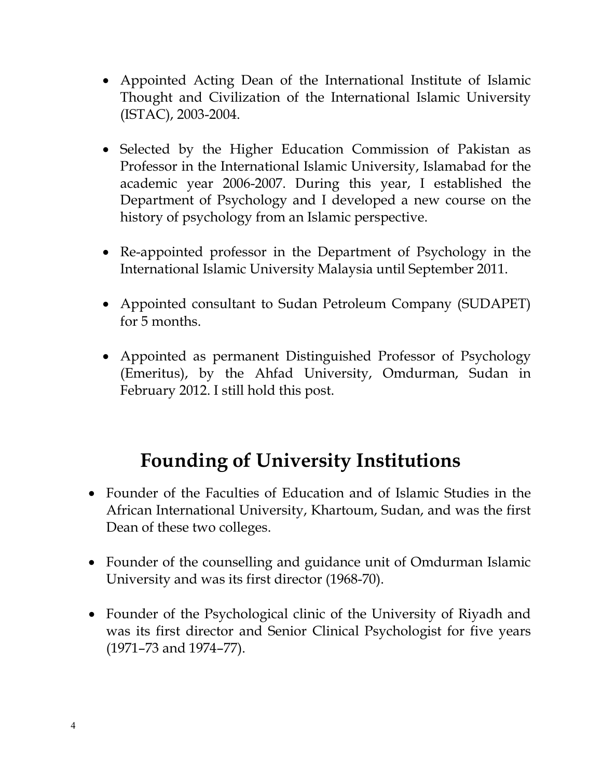- Appointed Acting Dean of the International Institute of Islamic Thought and Civilization of the International Islamic University (ISTAC), 2003-2004.
- Selected by the Higher Education Commission of Pakistan as Professor in the International Islamic University, Islamabad for the academic year 2006-2007. During this year, I established the Department of Psychology and I developed a new course on the history of psychology from an Islamic perspective.
- Re-appointed professor in the Department of Psychology in the International Islamic University Malaysia until September 2011.
- Appointed consultant to Sudan Petroleum Company (SUDAPET) for 5 months.
- Appointed as permanent Distinguished Professor of Psychology (Emeritus), by the Ahfad University, Omdurman, Sudan in February 2012. I still hold this post.

## **Founding of University Institutions**

- Founder of the Faculties of Education and of Islamic Studies in the African International University, Khartoum, Sudan, and was the first Dean of these two colleges.
- Founder of the counselling and guidance unit of Omdurman Islamic University and was its first director (1968-70).
- Founder of the Psychological clinic of the University of Riyadh and was its first director and Senior Clinical Psychologist for five years (1971–73 and 1974–77).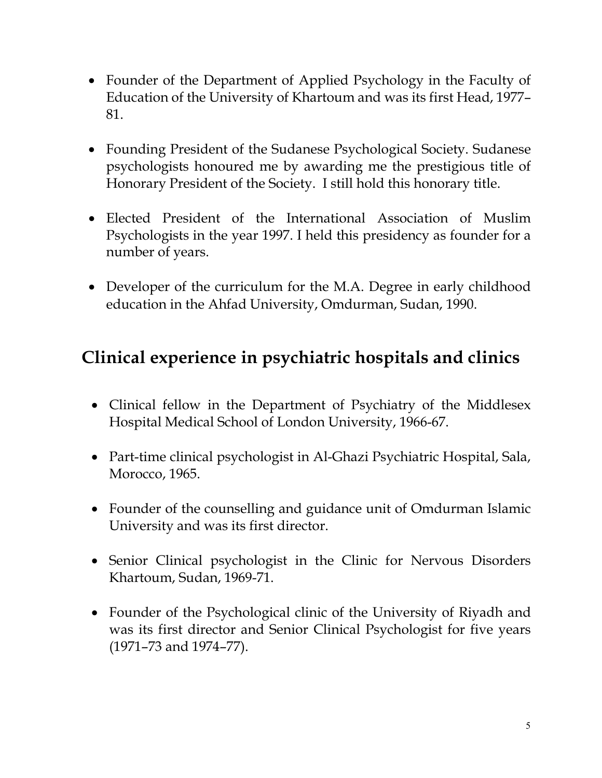- Founder of the Department of Applied Psychology in the Faculty of Education of the University of Khartoum and was its first Head, 1977– 81.
- Founding President of the Sudanese Psychological Society. Sudanese psychologists honoured me by awarding me the prestigious title of Honorary President of the Society. I still hold this honorary title.
- Elected President of the International Association of Muslim Psychologists in the year 1997. I held this presidency as founder for a number of years.
- Developer of the curriculum for the M.A. Degree in early childhood education in the Ahfad University, Omdurman, Sudan, 1990.

## **Clinical experience in psychiatric hospitals and clinics**

- Clinical fellow in the Department of Psychiatry of the Middlesex Hospital Medical School of London University, 1966-67.
- Part-time clinical psychologist in Al-Ghazi Psychiatric Hospital, Sala, Morocco, 1965.
- Founder of the counselling and guidance unit of Omdurman Islamic University and was its first director.
- Senior Clinical psychologist in the Clinic for Nervous Disorders Khartoum, Sudan, 1969-71.
- Founder of the Psychological clinic of the University of Riyadh and was its first director and Senior Clinical Psychologist for five years (1971–73 and 1974–77).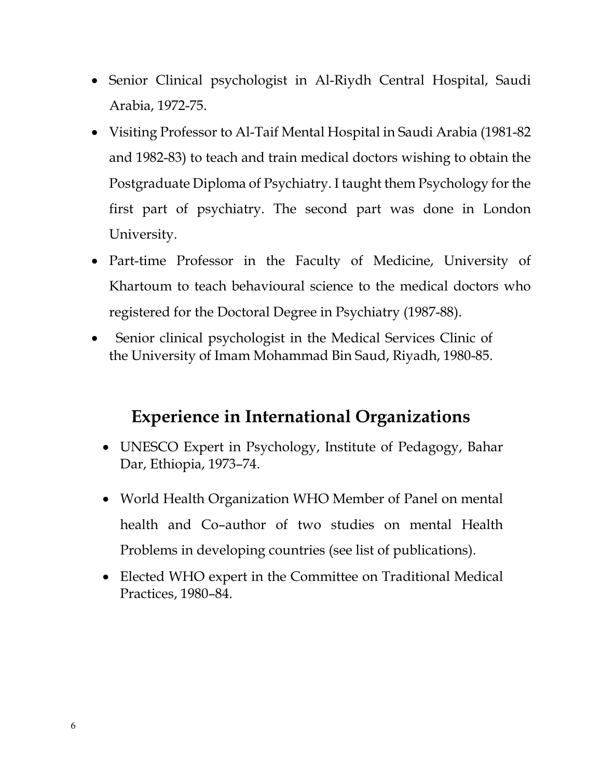- Senior Clinical psychologist in Al-Riydh Central Hospital, Saudi Arabia, 1972-75.
- Visiting Professor to Al-Taif Mental Hospital in Saudi Arabia (1981-82 and 1982-83) to teach and train medical doctors wishing to obtain the Postgraduate Diploma of Psychiatry. I taught them Psychology for the first part of psychiatry. The second part was done in London University.
- Part-time Professor in the Faculty of Medicine, University of Khartoum to teach behavioural science to the medical doctors who registered for the Doctoral Degree in Psychiatry (1987-88).
- Senior clinical psychologist in the Medical Services Clinic of the University of Imam Mohammad Bin Saud, Riyadh, 1980-85.

### **Experience in International Organizations**

- UNESCO Expert in Psychology, Institute of Pedagogy, Bahar Dar, Ethiopia, 1973–74.
- World Health Organization WHO Member of Panel on mental health and Co–author of two studies on mental Health Problems in developing countries (see list of publications).
- Elected WHO expert in the Committee on Traditional Medical Practices, 1980–84.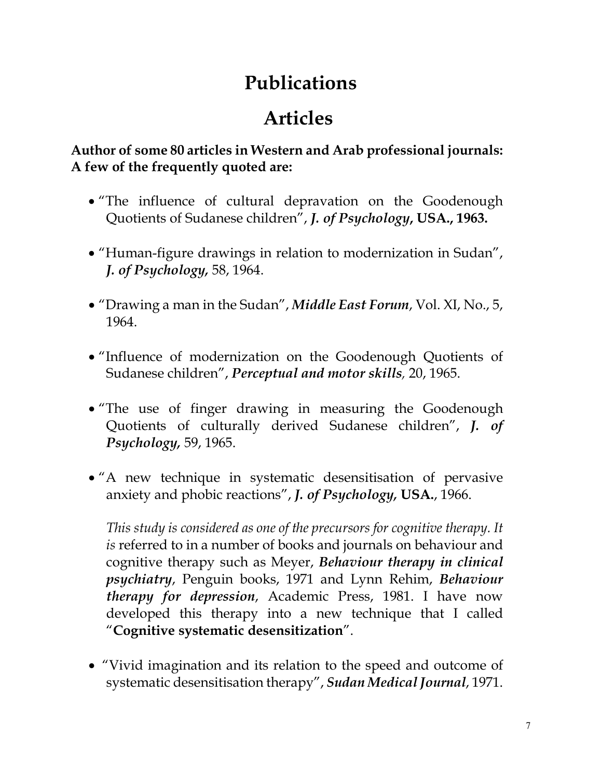# **Publications**

# **Articles**

**Author of some 80 articles in Western and Arab professional journals: A few of the frequently quoted are:**

- "The influence of cultural depravation on the Goodenough Quotients of Sudanese children", *J. of Psychology***, USA., 1963.**
- "Human-figure drawings in relation to modernization in Sudan", *J. of Psychology,* 58, 1964.
- "Drawing a man in the Sudan", *Middle East Forum*, Vol. XI, No., 5, 1964.
- "Influence of modernization on the Goodenough Quotients of Sudanese children", *Perceptual and motor skills,* 20, 1965.
- "The use of finger drawing in measuring the Goodenough Quotients of culturally derived Sudanese children", *J. of Psychology,* 59, 1965.
- "A new technique in systematic desensitisation of pervasive anxiety and phobic reactions", *J. of Psychology,* **USA.**, 1966.

*This study is considered as one of the precursors for cognitive therapy. It is* referred to in a number of books and journals on behaviour and cognitive therapy such as Meyer, *Behaviour therapy in clinical psychiatry*, Penguin books, 1971 and Lynn Rehim, *Behaviour therapy for depression*, Academic Press, 1981. I have now developed this therapy into a new technique that I called "**Cognitive systematic desensitization**".

• "Vivid imagination and its relation to the speed and outcome of systematic desensitisation therapy", *Sudan Medical Journal*, 1971.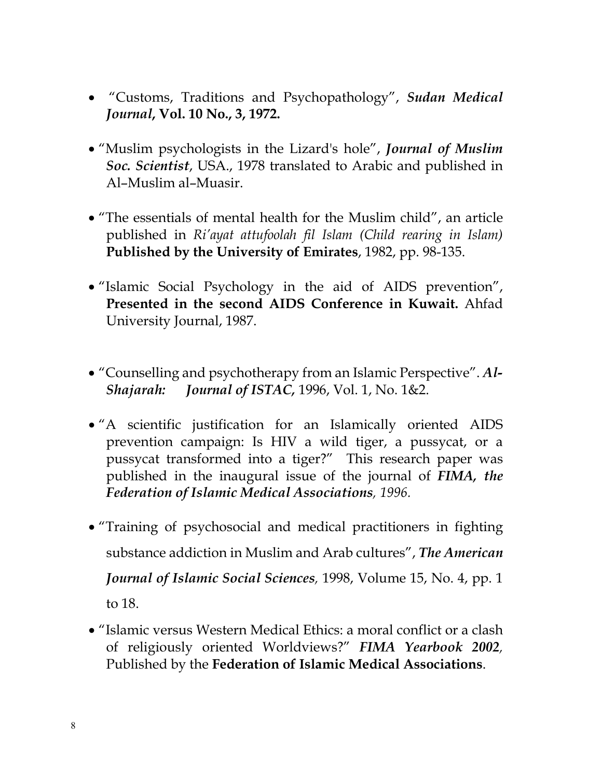- "Customs, Traditions and Psychopathology", *Sudan Medical Journal***, Vol. 10 No., 3, 1972.**
- "Muslim psychologists in the Lizard's hole", *Journal of Muslim Soc. Scientist*, USA., 1978 translated to Arabic and published in Al–Muslim al–Muasir.
- "The essentials of mental health for the Muslim child", an article published in *Ri'ayat attufoolah fil Islam (Child rearing in Islam)*  **Published by the University of Emirates**, 1982, pp. 98-135.
- "Islamic Social Psychology in the aid of AIDS prevention", **Presented in the second AIDS Conference in Kuwait.** Ahfad University Journal, 1987.
- "Counselling and psychotherapy from an Islamic Perspective". *Al-Shajarah: Journal of ISTAC,* 1996, Vol. 1, No. 1&2.
- "A scientific justification for an Islamically oriented AIDS prevention campaign: Is HIV a wild tiger, a pussycat, or a pussycat transformed into a tiger?" This research paper was published in the inaugural issue of the journal of *FIMA, the Federation of Islamic Medical Associations, 1996.*
- "Training of psychosocial and medical practitioners in fighting substance addiction in Muslim and Arab cultures", *The American Journal of Islamic Social Sciences,* 1998, Volume 15, No. 4, pp. 1 to 18.
- "Islamic versus Western Medical Ethics: a moral conflict or a clash of religiously oriented Worldviews?" *FIMA Yearbook 2002,*  Published by the **Federation of Islamic Medical Associations**.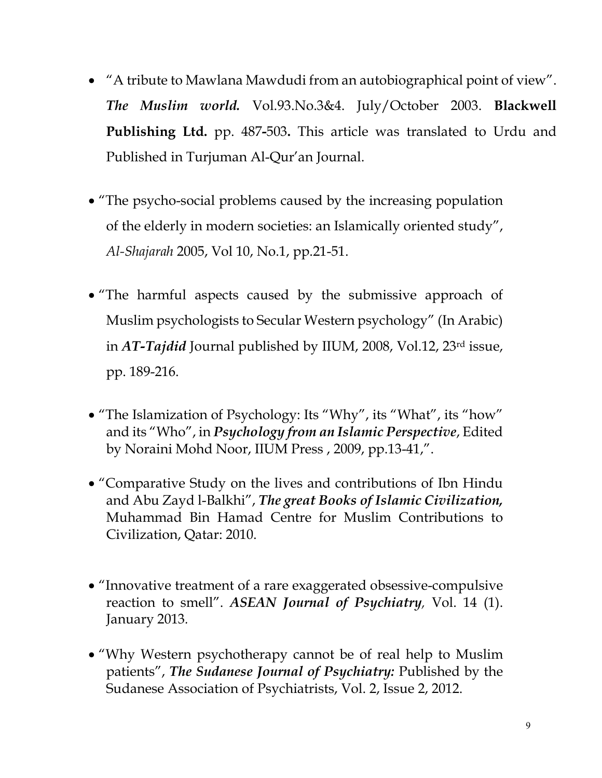- "A tribute to Mawlana Mawdudi from an autobiographical point of view". *The Muslim world.* Vol.93.No.3&4. July/October 2003. **Blackwell Publishing Ltd.** pp. 487**-**503**.** This article was translated to Urdu and Published in Turjuman Al-Qur'an Journal.
- "The psycho-social problems caused by the increasing population of the elderly in modern societies: an Islamically oriented study", *Al-Shajarah* 2005, Vol 10, No.1, pp.21-51.
- "The harmful aspects caused by the submissive approach of Muslim psychologists to Secular Western psychology" (In Arabic) in *AT-Tajdid* Journal published by IIUM, 2008, Vol.12, 23rd issue, pp. 189-216.
- "The Islamization of Psychology: Its "Why", its "What", its "how" and its "Who", in *Psychology from an Islamic Perspective*, Edited by Noraini Mohd Noor, IIUM Press , 2009, pp.13-41,".
- "Comparative Study on the lives and contributions of Ibn Hindu and Abu Zayd l-Balkhi", *The great Books of Islamic Civilization,*  Muhammad Bin Hamad Centre for Muslim Contributions to Civilization, Qatar: 2010.
- "Innovative treatment of a rare exaggerated obsessive-compulsive reaction to smell". *ASEAN Journal of Psychiatry,* Vol. 14 (1). January 2013*.*
- "Why Western psychotherapy cannot be of real help to Muslim patients", *The Sudanese Journal of Psychiatry:* Published by the Sudanese Association of Psychiatrists, Vol. 2, Issue 2, 2012.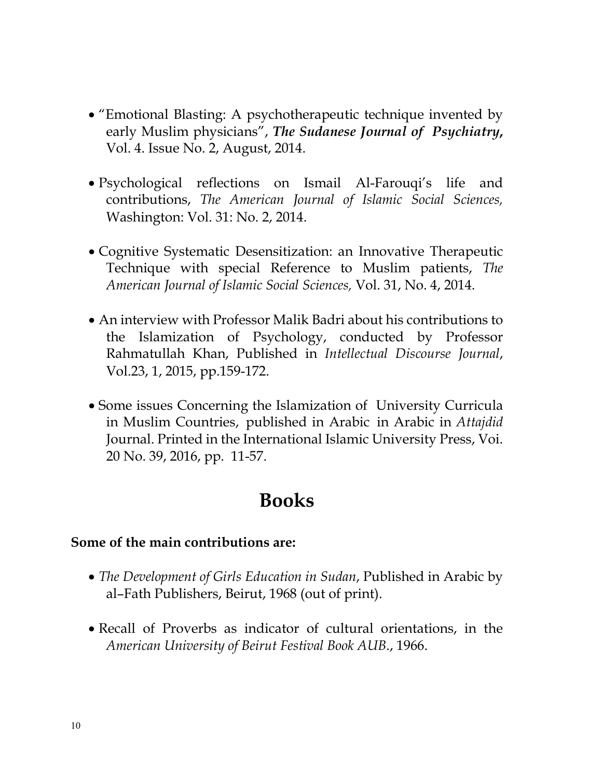- "Emotional Blasting: A psychotherapeutic technique invented by early Muslim physicians", *The Sudanese Journal of Psychiatry***,** Vol. 4. Issue No. 2, August, 2014.
- Psychological reflections on Ismail Al-Farouqi's life and contributions, *The American Journal of Islamic Social Sciences,*  Washington: Vol. 31: No. 2, 2014.
- Cognitive Systematic Desensitization: an Innovative Therapeutic Technique with special Reference to Muslim patients, *The American Journal of Islamic Social Sciences,* Vol. 31, No. 4, 2014.
- An interview with Professor Malik Badri about his contributions to the Islamization of Psychology, conducted by Professor Rahmatullah Khan, Published in *Intellectual Discourse Journal*, Vol.23, 1, 2015, pp.159-172.
- Some issues Concerning the Islamization of University Curricula in Muslim Countries, published in Arabic in Arabic in *Attajdid* Journal. Printed in the International Islamic University Press, Voi. 20 No. 39, 2016, pp. 11-57.

#### **Books**

#### **Some of the main contributions are:**

- *The Development of Girls Education in Sudan*, Published in Arabic by al–Fath Publishers, Beirut, 1968 (out of print).
- Recall of Proverbs as indicator of cultural orientations, in the *American University of Beirut Festival Book AUB*., 1966.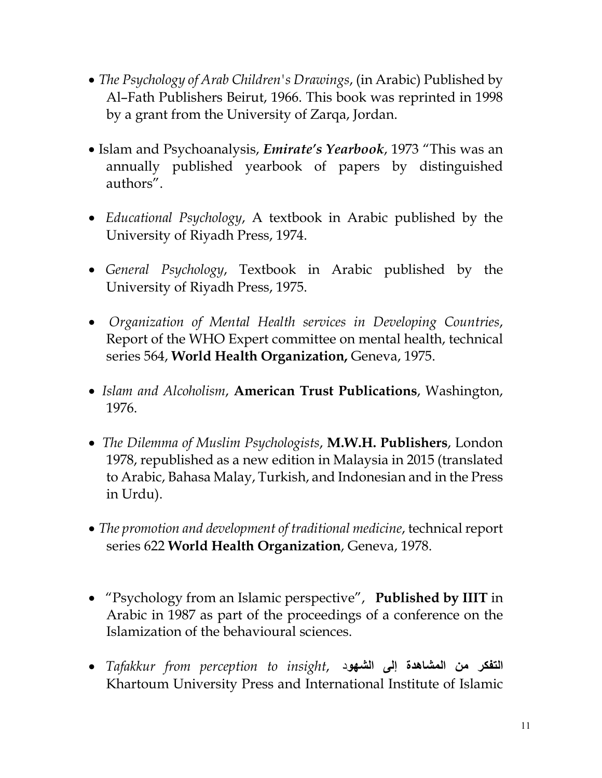- *The Psychology of Arab Children's Drawings*, (in Arabic) Published by Al–Fath Publishers Beirut, 1966. This book was reprinted in 1998 by a grant from the University of Zarqa, Jordan.
- Islam and Psychoanalysis, *Emirate's Yearbook*, 1973 "This was an annually published yearbook of papers by distinguished authors".
- • *Educational Psychology*, A textbook in Arabic published by the University of Riyadh Press, 1974.
- *General Psychology*, Textbook in Arabic published by the University of Riyadh Press, 1975.
- *Organization of Mental Health services in Developing Countries*, Report of the WHO Expert committee on mental health, technical series 564, **World Health Organization,** Geneva, 1975.
- *Islam and Alcoholism*, **American Trust Publications**, Washington, 1976.
- *The Dilemma of Muslim Psychologists*, **M.W.H. Publishers**, London 1978, republished as a new edition in Malaysia in 2015 (translated to Arabic, Bahasa Malay, Turkish, and Indonesian and in the Press in Urdu).
- *The promotion and development of traditional medicine*, technical report series 622 **World Health Organization**, Geneva, 1978.
- "Psychology from an Islamic perspective", **Published by IIIT** in Arabic in 1987 as part of the proceedings of a conference on the Islamization of the behavioural sciences.
- **التفكر من المشاھدة إلى الشھو**د ,*insight to perception from Tafakkur* Khartoum University Press and International Institute of Islamic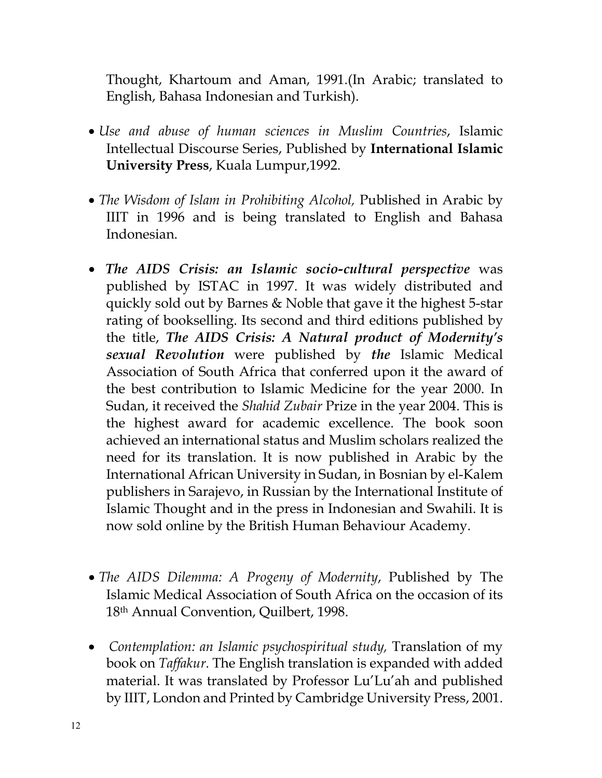Thought, Khartoum and Aman, 1991.(In Arabic; translated to English, Bahasa Indonesian and Turkish).

- *Use and abuse of human sciences in Muslim Countries*, Islamic Intellectual Discourse Series, Published by **International Islamic University Press**, Kuala Lumpur,1992.
- *The Wisdom of Islam in Prohibiting Alcohol,* Published in Arabic by IIIT in 1996 and is being translated to English and Bahasa Indonesian.
- *The AIDS Crisis: an Islamic socio-cultural perspective* was published by ISTAC in 1997. It was widely distributed and quickly sold out by Barnes & Noble that gave it the highest 5-star rating of bookselling. Its second and third editions published by the title, *The AIDS Crisis: A Natural product of Modernity's sexual Revolution* were published by *the* Islamic Medical Association of South Africa that conferred upon it the award of the best contribution to Islamic Medicine for the year 2000. In Sudan, it received the *Shahid Zubair* Prize in the year 2004. This is the highest award for academic excellence. The book soon achieved an international status and Muslim scholars realized the need for its translation. It is now published in Arabic by the International African University in Sudan, in Bosnian by el-Kalem publishers in Sarajevo, in Russian by the International Institute of Islamic Thought and in the press in Indonesian and Swahili. It is now sold online by the British Human Behaviour Academy.
- *The AIDS Dilemma: A Progeny of Modernity*, Published by The Islamic Medical Association of South Africa on the occasion of its 18th Annual Convention, Quilbert, 1998.
- *Contemplation: an Islamic psychospiritual study*, Translation of my book on *Taffakur.* The English translation is expanded with added material. It was translated by Professor Lu'Lu'ah and published by IIIT, London and Printed by Cambridge University Press, 2001.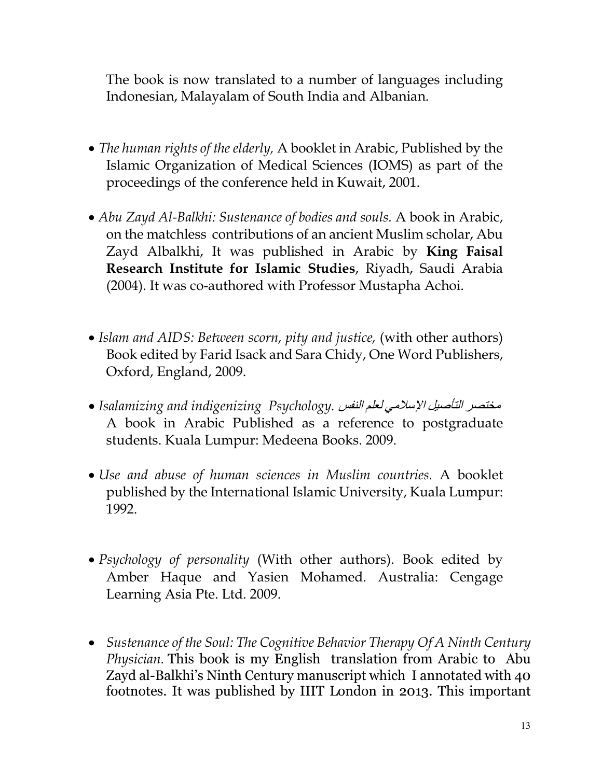The book is now translated to a number of languages including Indonesian, Malayalam of South India and Albanian.

- *The human rights of the elderly,* A booklet in Arabic, Published by the Islamic Organization of Medical Sciences (IOMS) as part of the proceedings of the conference held in Kuwait, 2001.
- *Abu Zayd Al-Balkhi: Sustenance of bodies and souls.* A book in Arabic, on the matchless contributions of an ancient Muslim scholar, Abu Zayd Albalkhi, It was published in Arabic by **King Faisal Research Institute for Islamic Studies**, Riyadh, Saudi Arabia (2004). It was co-authored with Professor Mustapha Achoi.
- *Islam and AIDS: Between scorn, pity and justice,* (with other authors) Book edited by Farid Isack and Sara Chidy, One Word Publishers, Oxford, England, 2009.
- مختصر التأصیل الإسلامي لعلم النفس *.Psychology indigenizing and Isalamizing* A book in Arabic Published as a reference to postgraduate students. Kuala Lumpur: Medeena Books. 2009.
- *Use and abuse of human sciences in Muslim countries.* A booklet published by the International Islamic University, Kuala Lumpur: 1992.
- *Psychology of personality* (With other authors). Book edited by Amber Haque and Yasien Mohamed. Australia: Cengage Learning Asia Pte. Ltd. 2009.
- *Sustenance of the Soul: The Cognitive Behavior Therapy Of A Ninth Century Physician.* This book is my English translation from Arabic to Abu Zayd al-Balkhi's Ninth Century manuscript which I annotated with 40 footnotes. It was published by IIIT London in 2013. This important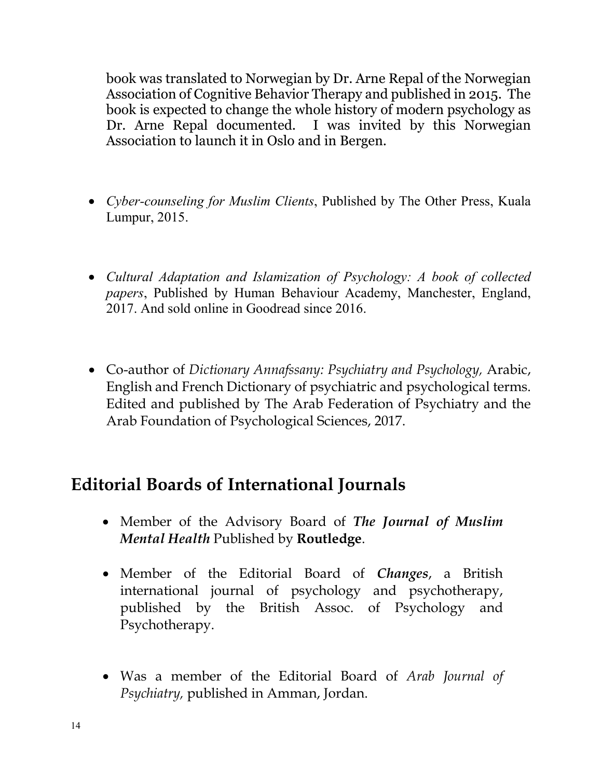book was translated to Norwegian by Dr. Arne Repal of the Norwegian Association of Cognitive Behavior Therapy and published in 2015. The book is expected to change the whole history of modern psychology as Dr. Arne Repal documented. I was invited by this Norwegian Association to launch it in Oslo and in Bergen.

- *Cyber-counseling for Muslim Clients*, Published by The Other Press, Kuala Lumpur, 2015.
- *Cultural Adaptation and Islamization of Psychology: A book of collected papers*, Published by Human Behaviour Academy, Manchester, England, 2017. And sold online in Goodread since 2016.
- Co-author of *Dictionary Annafssany: Psychiatry and Psychology,* Arabic, English and French Dictionary of psychiatric and psychological terms. Edited and published by The Arab Federation of Psychiatry and the Arab Foundation of Psychological Sciences, 2017.

#### **Editorial Boards of International Journals**

- Member of the Advisory Board of *The Journal of Muslim Mental Health* Published by **Routledge**.
- Member of the Editorial Board of *Changes*, a British international journal of psychology and psychotherapy, published by the British Assoc. of Psychology and Psychotherapy.
- Was a member of the Editorial Board of *Arab Journal of Psychiatry,* published in Amman, Jordan.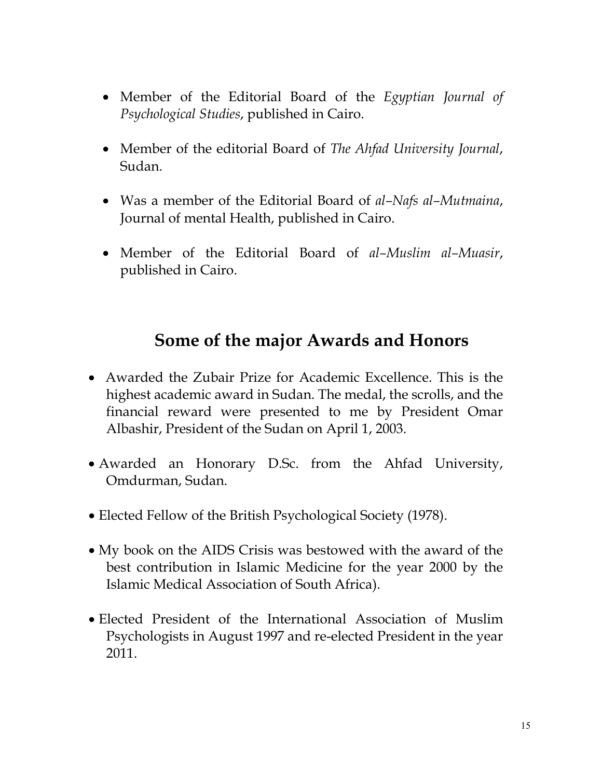- Member of the Editorial Board of the *Egyptian Journal of Psychological Studies*, published in Cairo.
- Member of the editorial Board of *The Ahfad University Journal*, Sudan.
- Was a member of the Editorial Board of *al–Nafs al–Mutmaina*, Journal of mental Health, published in Cairo.
- Member of the Editorial Board of *al–Muslim al–Muasir*, published in Cairo.

#### **Some of the major Awards and Honors**

- Awarded the Zubair Prize for Academic Excellence. This is the highest academic award in Sudan. The medal, the scrolls, and the financial reward were presented to me by President Omar Albashir, President of the Sudan on April 1, 2003.
- Awarded an Honorary D.Sc. from the Ahfad University, Omdurman, Sudan.
- Elected Fellow of the British Psychological Society (1978).
- My book on the AIDS Crisis was bestowed with the award of the best contribution in Islamic Medicine for the year 2000 by the Islamic Medical Association of South Africa).
- Elected President of the International Association of Muslim Psychologists in August 1997 and re-elected President in the year 2011.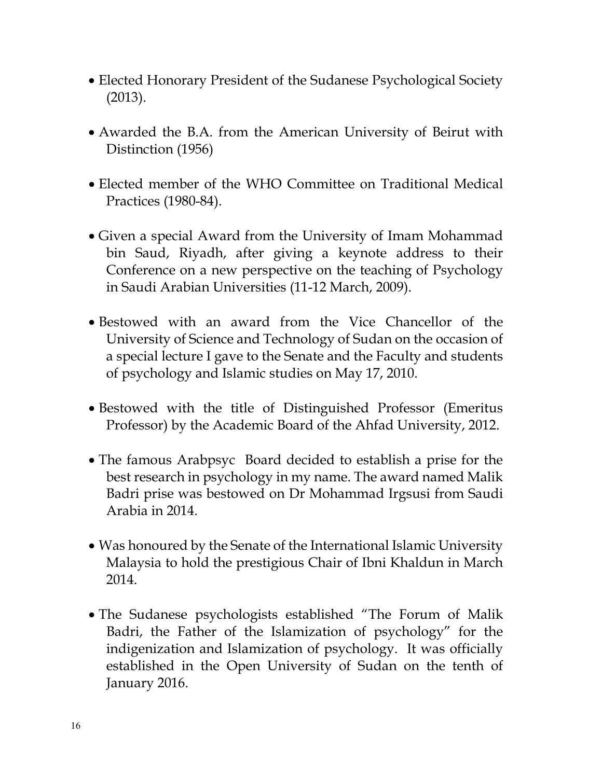- Elected Honorary President of the Sudanese Psychological Society (2013).
- Awarded the B.A. from the American University of Beirut with Distinction (1956)
- Elected member of the WHO Committee on Traditional Medical Practices (1980-84).
- Given a special Award from the University of Imam Mohammad bin Saud, Riyadh, after giving a keynote address to their Conference on a new perspective on the teaching of Psychology in Saudi Arabian Universities (11-12 March, 2009).
- Bestowed with an award from the Vice Chancellor of the University of Science and Technology of Sudan on the occasion of a special lecture I gave to the Senate and the Faculty and students of psychology and Islamic studies on May 17, 2010.
- Bestowed with the title of Distinguished Professor (Emeritus Professor) by the Academic Board of the Ahfad University, 2012.
- The famous Arabpsyc Board decided to establish a prise for the best research in psychology in my name. The award named Malik Badri prise was bestowed on Dr Mohammad Irgsusi from Saudi Arabia in 2014.
- Was honoured by the Senate of the International Islamic University Malaysia to hold the prestigious Chair of Ibni Khaldun in March 2014.
- The Sudanese psychologists established "The Forum of Malik Badri, the Father of the Islamization of psychology" for the indigenization and Islamization of psychology. It was officially established in the Open University of Sudan on the tenth of January 2016.